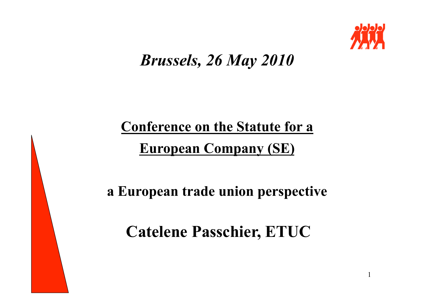

1

## *Brussels, 26 May 2010*

# **Conference on the Statute for a European Company (SE)**

**a European trade union perspective** 

**Catelene Passchier, ETUC**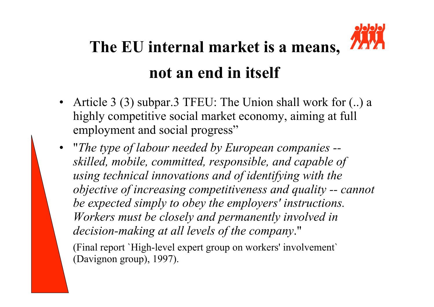# **The EU internal market is a means, not an end in itself**

- Article 3 (3) subpar.3 TFEU: The Union shall work for (..) a highly competitive social market economy, aiming at full employment and social progress"
- "*The type of labour needed by European companies skilled, mobile, committed, responsible, and capable of using technical innovations and of identifying with the objective of increasing competitiveness and quality -- cannot be expected simply to obey the employers' instructions. Workers must be closely and permanently involved in decision-making at all levels of the company*."

(Final report `High-level expert group on workers' involvement` (Davignon group), 1997).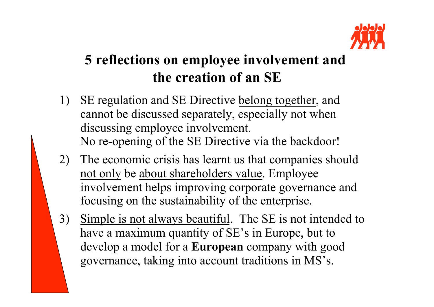

#### **5 reflections on employee involvement and the creation of an SE**

- 1) SE regulation and SE Directive belong together, and cannot be discussed separately, especially not when discussing employee involvement. No re-opening of the SE Directive via the backdoor!
- 2) The economic crisis has learnt us that companies should not only be about shareholders value. Employee involvement helps improving corporate governance and focusing on the sustainability of the enterprise.
- 3) Simple is not always beautiful. The SE is not intended to have a maximum quantity of SE's in Europe, but to develop a model for a **European** company with good governance, taking into account traditions in MS's.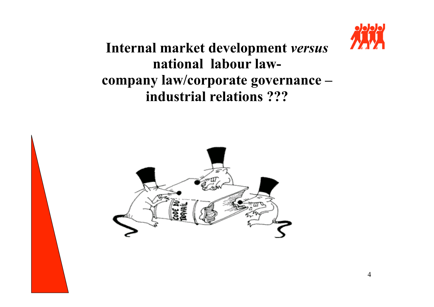

**Internal market development** *versus* **national labour lawcompany law/corporate governance – industrial relations ???** 

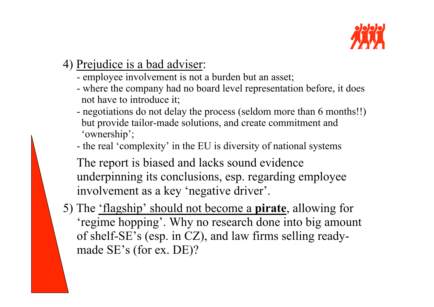

- 4) Prejudice is a bad adviser:
	- employee involvement is not a burden but an asset;
	- where the company had no board level representation before, it does not have to introduce it;
	- negotiations do not delay the process (seldom more than 6 months!!) but provide tailor-made solutions, and create commitment and 'ownership';
	- the real 'complexity' in the EU is diversity of national systems

The report is biased and lacks sound evidence underpinning its conclusions, esp. regarding employee involvement as a key 'negative driver'.

5) The 'flagship' should not become a **pirate**, allowing for 'regime hopping'. Why no research done into big amount of shelf-SE's (esp. in CZ), and law firms selling readymade SE's (for ex. DE)?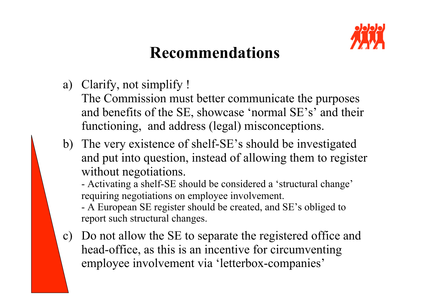

## **Recommendations**

a) Clarify, not simplify !

The Commission must better communicate the purposes and benefits of the SE, showcase 'normal SE's' and their functioning, and address (legal) misconceptions.

b) The very existence of shelf-SE's should be investigated and put into question, instead of allowing them to register without negotiations.

- Activating a shelf-SE should be considered a 'structural change' requiring negotiations on employee involvement.

- A European SE register should be created, and SE's obliged to report such structural changes.

c) Do not allow the SE to separate the registered office and head-office, as this is an incentive for circumventing employee involvement via 'letterbox-companies'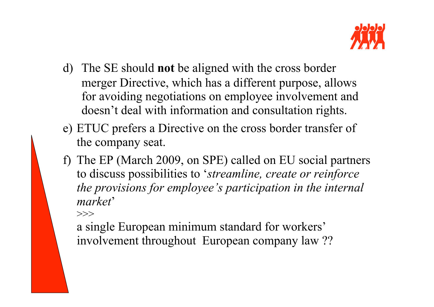

- d) The SE should **not** be aligned with the cross border merger Directive, which has a different purpose, allows for avoiding negotiations on employee involvement and doesn't deal with information and consultation rights.
- e) ETUC prefers a Directive on the cross border transfer of the company seat.
- f) The EP (March 2009, on SPE) called on EU social partners to discuss possibilities to '*streamline, create or reinforce the provisions for employee's participation in the internal market*'

 $>>$ 

a single European minimum standard for workers' involvement throughout European company law ??